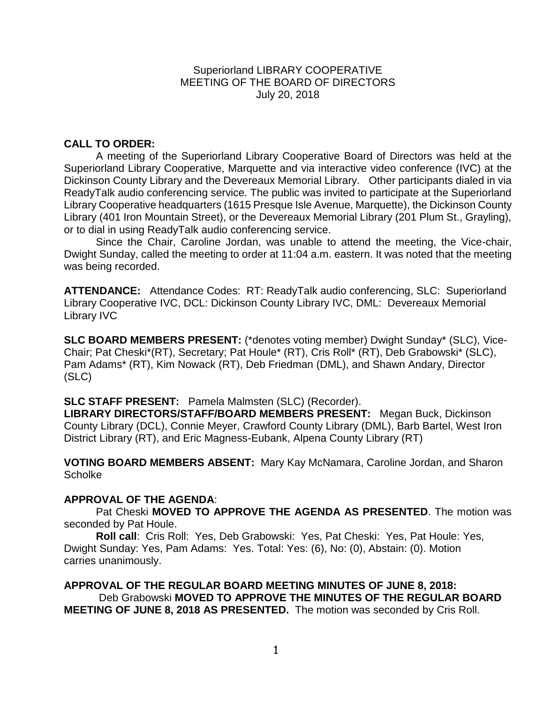Superiorland LIBRARY COOPERATIVE MEETING OF THE BOARD OF DIRECTORS July 20, 2018

# **CALL TO ORDER:**

A meeting of the Superiorland Library Cooperative Board of Directors was held at the Superiorland Library Cooperative, Marquette and via interactive video conference (IVC) at the Dickinson County Library and the Devereaux Memorial Library. Other participants dialed in via ReadyTalk audio conferencing service. The public was invited to participate at the Superiorland Library Cooperative headquarters (1615 Presque Isle Avenue, Marquette), the Dickinson County Library (401 Iron Mountain Street), or the Devereaux Memorial Library (201 Plum St., Grayling), or to dial in using ReadyTalk audio conferencing service.

Since the Chair, Caroline Jordan, was unable to attend the meeting, the Vice-chair, Dwight Sunday, called the meeting to order at 11:04 a.m. eastern. It was noted that the meeting was being recorded.

**ATTENDANCE:** Attendance Codes: RT: ReadyTalk audio conferencing, SLC: Superiorland Library Cooperative IVC, DCL: Dickinson County Library IVC, DML: Devereaux Memorial Library IVC

**SLC BOARD MEMBERS PRESENT:** (\*denotes voting member) Dwight Sunday\* (SLC), Vice-Chair; Pat Cheski\*(RT), Secretary; Pat Houle\* (RT), Cris Roll\* (RT), Deb Grabowski\* (SLC), Pam Adams\* (RT), Kim Nowack (RT), Deb Friedman (DML), and Shawn Andary, Director (SLC)

**SLC STAFF PRESENT:** Pamela Malmsten (SLC) (Recorder).

**LIBRARY DIRECTORS/STAFF/BOARD MEMBERS PRESENT:** Megan Buck, Dickinson County Library (DCL), Connie Meyer, Crawford County Library (DML), Barb Bartel, West Iron District Library (RT), and Eric Magness-Eubank, Alpena County Library (RT)

**VOTING BOARD MEMBERS ABSENT:** Mary Kay McNamara, Caroline Jordan, and Sharon **Scholke** 

## **APPROVAL OF THE AGENDA**:

Pat Cheski **MOVED TO APPROVE THE AGENDA AS PRESENTED**. The motion was seconded by Pat Houle.

**Roll call**: Cris Roll: Yes, Deb Grabowski: Yes, Pat Cheski: Yes, Pat Houle: Yes, Dwight Sunday: Yes, Pam Adams: Yes. Total: Yes: (6), No: (0), Abstain: (0). Motion carries unanimously.

**APPROVAL OF THE REGULAR BOARD MEETING MINUTES OF JUNE 8, 2018:**  Deb Grabowski **MOVED TO APPROVE THE MINUTES OF THE REGULAR BOARD MEETING OF JUNE 8, 2018 AS PRESENTED.** The motion was seconded by Cris Roll.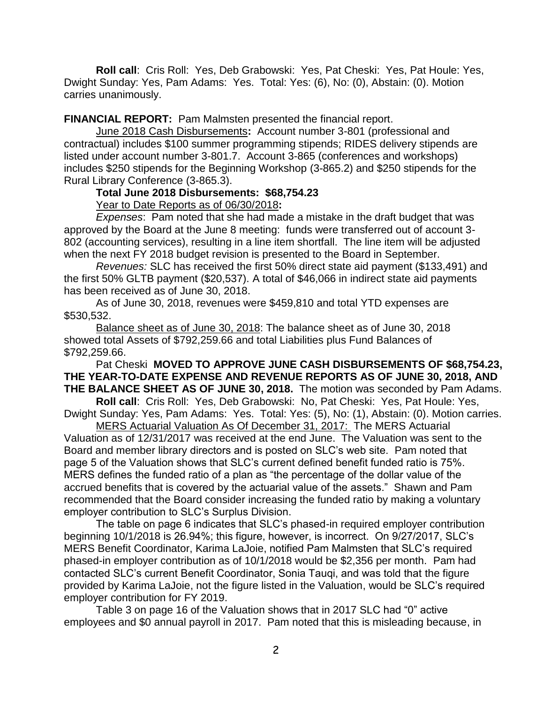**Roll call**: Cris Roll: Yes, Deb Grabowski: Yes, Pat Cheski: Yes, Pat Houle: Yes, Dwight Sunday: Yes, Pam Adams: Yes. Total: Yes: (6), No: (0), Abstain: (0). Motion carries unanimously.

**FINANCIAL REPORT:** Pam Malmsten presented the financial report.

June 2018 Cash Disbursements**:** Account number 3-801 (professional and contractual) includes \$100 summer programming stipends; RIDES delivery stipends are listed under account number 3-801.7. Account 3-865 (conferences and workshops) includes \$250 stipends for the Beginning Workshop (3-865.2) and \$250 stipends for the Rural Library Conference (3-865.3).

## **Total June 2018 Disbursements: \$68,754.23**

Year to Date Reports as of 06/30/2018**:** 

*Expenses*: Pam noted that she had made a mistake in the draft budget that was approved by the Board at the June 8 meeting: funds were transferred out of account 3- 802 (accounting services), resulting in a line item shortfall. The line item will be adjusted when the next FY 2018 budget revision is presented to the Board in September.

*Revenues:* SLC has received the first 50% direct state aid payment (\$133,491) and the first 50% GLTB payment (\$20,537). A total of \$46,066 in indirect state aid payments has been received as of June 30, 2018.

As of June 30, 2018, revenues were \$459,810 and total YTD expenses are \$530,532.

Balance sheet as of June 30, 2018: The balance sheet as of June 30, 2018 showed total Assets of \$792,259.66 and total Liabilities plus Fund Balances of \$792,259.66.

Pat Cheski **MOVED TO APPROVE JUNE CASH DISBURSEMENTS OF \$68,754.23, THE YEAR-TO-DATE EXPENSE AND REVENUE REPORTS AS OF JUNE 30, 2018, AND THE BALANCE SHEET AS OF JUNE 30, 2018.** The motion was seconded by Pam Adams.

**Roll call**: Cris Roll: Yes, Deb Grabowski: No, Pat Cheski: Yes, Pat Houle: Yes, Dwight Sunday: Yes, Pam Adams: Yes. Total: Yes: (5), No: (1), Abstain: (0). Motion carries.

MERS Actuarial Valuation As Of December 31, 2017: The MERS Actuarial Valuation as of 12/31/2017 was received at the end June. The Valuation was sent to the Board and member library directors and is posted on SLC's web site. Pam noted that page 5 of the Valuation shows that SLC's current defined benefit funded ratio is 75%. MERS defines the funded ratio of a plan as "the percentage of the dollar value of the accrued benefits that is covered by the actuarial value of the assets." Shawn and Pam recommended that the Board consider increasing the funded ratio by making a voluntary employer contribution to SLC's Surplus Division.

The table on page 6 indicates that SLC's phased-in required employer contribution beginning 10/1/2018 is 26.94%; this figure, however, is incorrect. On 9/27/2017, SLC's MERS Benefit Coordinator, Karima LaJoie, notified Pam Malmsten that SLC's required phased-in employer contribution as of 10/1/2018 would be \$2,356 per month. Pam had contacted SLC's current Benefit Coordinator, Sonia Tauqi, and was told that the figure provided by Karima LaJoie, not the figure listed in the Valuation, would be SLC's required employer contribution for FY 2019.

Table 3 on page 16 of the Valuation shows that in 2017 SLC had "0" active employees and \$0 annual payroll in 2017. Pam noted that this is misleading because, in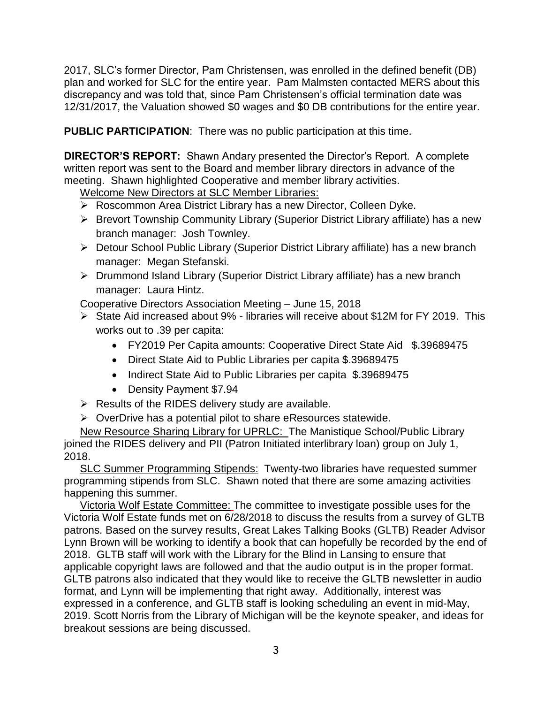2017, SLC's former Director, Pam Christensen, was enrolled in the defined benefit (DB) plan and worked for SLC for the entire year. Pam Malmsten contacted MERS about this discrepancy and was told that, since Pam Christensen's official termination date was 12/31/2017, the Valuation showed \$0 wages and \$0 DB contributions for the entire year.

**PUBLIC PARTICIPATION**: There was no public participation at this time.

**DIRECTOR'S REPORT:** Shawn Andary presented the Director's Report. A complete written report was sent to the Board and member library directors in advance of the meeting. Shawn highlighted Cooperative and member library activities.

Welcome New Directors at SLC Member Libraries:

- ▶ Roscommon Area District Library has a new Director, Colleen Dyke.
- Brevort Township Community Library (Superior District Library affiliate) has a new branch manager: Josh Townley.
- ▶ Detour School Public Library (Superior District Library affiliate) has a new branch manager: Megan Stefanski.
- Drummond Island Library (Superior District Library affiliate) has a new branch manager: Laura Hintz.

Cooperative Directors Association Meeting – June 15, 2018

- State Aid increased about 9% libraries will receive about \$12M for FY 2019. This works out to .39 per capita:
	- FY2019 Per Capita amounts: Cooperative Direct State Aid \$.39689475
	- Direct State Aid to Public Libraries per capita \$.39689475
	- Indirect State Aid to Public Libraries per capita \$.39689475
	- Density Payment \$7.94
- $\triangleright$  Results of the RIDES delivery study are available.
- $\triangleright$  OverDrive has a potential pilot to share eResources statewide.

New Resource Sharing Library for UPRLC: The Manistique School/Public Library joined the RIDES delivery and PII (Patron Initiated interlibrary loan) group on July 1, 2018.

SLC Summer Programming Stipends: Twenty-two libraries have requested summer programming stipends from SLC. Shawn noted that there are some amazing activities happening this summer.

Victoria Wolf Estate Committee: The committee to investigate possible uses for the Victoria Wolf Estate funds met on 6/28/2018 to discuss the results from a survey of GLTB patrons. Based on the survey results, Great Lakes Talking Books (GLTB) Reader Advisor Lynn Brown will be working to identify a book that can hopefully be recorded by the end of 2018. GLTB staff will work with the Library for the Blind in Lansing to ensure that applicable copyright laws are followed and that the audio output is in the proper format. GLTB patrons also indicated that they would like to receive the GLTB newsletter in audio format, and Lynn will be implementing that right away. Additionally, interest was expressed in a conference, and GLTB staff is looking scheduling an event in mid-May, 2019. Scott Norris from the Library of Michigan will be the keynote speaker, and ideas for breakout sessions are being discussed.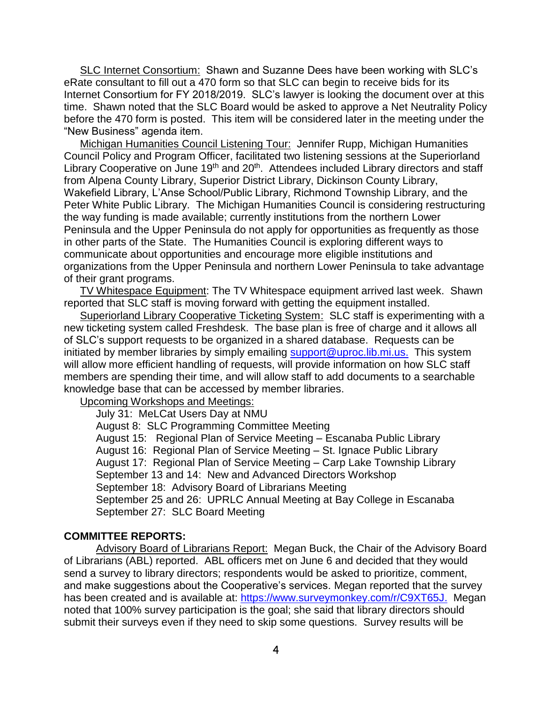SLC Internet Consortium: Shawn and Suzanne Dees have been working with SLC's eRate consultant to fill out a 470 form so that SLC can begin to receive bids for its Internet Consortium for FY 2018/2019. SLC's lawyer is looking the document over at this time. Shawn noted that the SLC Board would be asked to approve a Net Neutrality Policy before the 470 form is posted. This item will be considered later in the meeting under the "New Business" agenda item.

Michigan Humanities Council Listening Tour: Jennifer Rupp, Michigan Humanities Council Policy and Program Officer, facilitated two listening sessions at the Superiorland Library Cooperative on June 19<sup>th</sup> and 20<sup>th</sup>. Attendees included Library directors and staff from Alpena County Library, Superior District Library, Dickinson County Library, Wakefield Library, L'Anse School/Public Library, Richmond Township Library, and the Peter White Public Library. The Michigan Humanities Council is considering restructuring the way funding is made available; currently institutions from the northern Lower Peninsula and the Upper Peninsula do not apply for opportunities as frequently as those in other parts of the State. The Humanities Council is exploring different ways to communicate about opportunities and encourage more eligible institutions and organizations from the Upper Peninsula and northern Lower Peninsula to take advantage of their grant programs.

TV Whitespace Equipment: The TV Whitespace equipment arrived last week. Shawn reported that SLC staff is moving forward with getting the equipment installed.

Superiorland Library Cooperative Ticketing System: SLC staff is experimenting with a new ticketing system called Freshdesk. The base plan is free of charge and it allows all of SLC's support requests to be organized in a shared database. Requests can be initiated by member libraries by simply emailing [support@uproc.lib.mi.us.](mailto:support@uproc.lib.mi.us) This system will allow more efficient handling of requests, will provide information on how SLC staff members are spending their time, and will allow staff to add documents to a searchable knowledge base that can be accessed by member libraries.

Upcoming Workshops and Meetings:

July 31: MeLCat Users Day at NMU

August 8: SLC Programming Committee Meeting August 15: Regional Plan of Service Meeting – Escanaba Public Library August 16: Regional Plan of Service Meeting – St. Ignace Public Library August 17: Regional Plan of Service Meeting – Carp Lake Township Library September 13 and 14: New and Advanced Directors Workshop September 18: Advisory Board of Librarians Meeting September 25 and 26: UPRLC Annual Meeting at Bay College in Escanaba September 27: SLC Board Meeting

#### **COMMITTEE REPORTS:**

Advisory Board of Librarians Report: Megan Buck, the Chair of the Advisory Board of Librarians (ABL) reported. ABL officers met on June 6 and decided that they would send a survey to library directors; respondents would be asked to prioritize, comment, and make suggestions about the Cooperative's services. Megan reported that the survey has been created and is available at: [https://www.surveymonkey.com/r/C9XT65J.](https://www.surveymonkey.com/r/C9XT65J) Megan noted that 100% survey participation is the goal; she said that library directors should submit their surveys even if they need to skip some questions. Survey results will be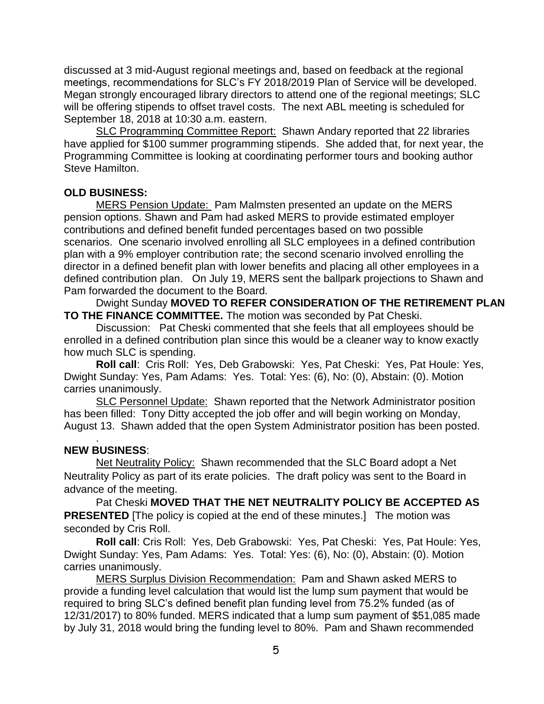discussed at 3 mid-August regional meetings and, based on feedback at the regional meetings, recommendations for SLC's FY 2018/2019 Plan of Service will be developed. Megan strongly encouraged library directors to attend one of the regional meetings; SLC will be offering stipends to offset travel costs. The next ABL meeting is scheduled for September 18, 2018 at 10:30 a.m. eastern.

SLC Programming Committee Report: Shawn Andary reported that 22 libraries have applied for \$100 summer programming stipends. She added that, for next year, the Programming Committee is looking at coordinating performer tours and booking author Steve Hamilton.

## **OLD BUSINESS:**

MERS Pension Update: Pam Malmsten presented an update on the MERS pension options. Shawn and Pam had asked MERS to provide estimated employer contributions and defined benefit funded percentages based on two possible scenarios. One scenario involved enrolling all SLC employees in a defined contribution plan with a 9% employer contribution rate; the second scenario involved enrolling the director in a defined benefit plan with lower benefits and placing all other employees in a defined contribution plan. On July 19, MERS sent the ballpark projections to Shawn and Pam forwarded the document to the Board.

Dwight Sunday **MOVED TO REFER CONSIDERATION OF THE RETIREMENT PLAN TO THE FINANCE COMMITTEE.** The motion was seconded by Pat Cheski.

Discussion: Pat Cheski commented that she feels that all employees should be enrolled in a defined contribution plan since this would be a cleaner way to know exactly how much SLC is spending.

**Roll call**: Cris Roll: Yes, Deb Grabowski: Yes, Pat Cheski: Yes, Pat Houle: Yes, Dwight Sunday: Yes, Pam Adams: Yes. Total: Yes: (6), No: (0), Abstain: (0). Motion carries unanimously.

SLC Personnel Update: Shawn reported that the Network Administrator position has been filled: Tony Ditty accepted the job offer and will begin working on Monday, August 13. Shawn added that the open System Administrator position has been posted.

### **NEW BUSINESS**:

.

Net Neutrality Policy: Shawn recommended that the SLC Board adopt a Net Neutrality Policy as part of its erate policies. The draft policy was sent to the Board in advance of the meeting.

Pat Cheski **MOVED THAT THE NET NEUTRALITY POLICY BE ACCEPTED AS PRESENTED** [The policy is copied at the end of these minutes.] The motion was seconded by Cris Roll.

**Roll call**: Cris Roll: Yes, Deb Grabowski: Yes, Pat Cheski: Yes, Pat Houle: Yes, Dwight Sunday: Yes, Pam Adams: Yes. Total: Yes: (6), No: (0), Abstain: (0). Motion carries unanimously.

MERS Surplus Division Recommendation: Pam and Shawn asked MERS to provide a funding level calculation that would list the lump sum payment that would be required to bring SLC's defined benefit plan funding level from 75.2% funded (as of 12/31/2017) to 80% funded. MERS indicated that a lump sum payment of \$51,085 made by July 31, 2018 would bring the funding level to 80%. Pam and Shawn recommended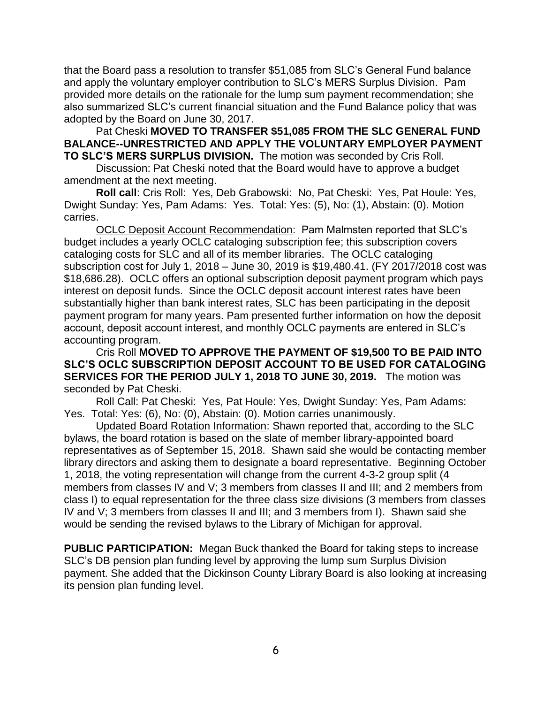that the Board pass a resolution to transfer \$51,085 from SLC's General Fund balance and apply the voluntary employer contribution to SLC's MERS Surplus Division. Pam provided more details on the rationale for the lump sum payment recommendation; she also summarized SLC's current financial situation and the Fund Balance policy that was adopted by the Board on June 30, 2017.

Pat Cheski **MOVED TO TRANSFER \$51,085 FROM THE SLC GENERAL FUND BALANCE--UNRESTRICTED AND APPLY THE VOLUNTARY EMPLOYER PAYMENT TO SLC'S MERS SURPLUS DIVISION.** The motion was seconded by Cris Roll.

Discussion: Pat Cheski noted that the Board would have to approve a budget amendment at the next meeting.

**Roll call**: Cris Roll: Yes, Deb Grabowski: No, Pat Cheski: Yes, Pat Houle: Yes, Dwight Sunday: Yes, Pam Adams: Yes. Total: Yes: (5), No: (1), Abstain: (0). Motion carries.

OCLC Deposit Account Recommendation: Pam Malmsten reported that SLC's budget includes a yearly OCLC cataloging subscription fee; this subscription covers cataloging costs for SLC and all of its member libraries. The OCLC cataloging subscription cost for July 1, 2018 – June 30, 2019 is \$19,480.41. (FY 2017/2018 cost was \$18,686.28). OCLC offers an optional subscription deposit payment program which pays interest on deposit funds. Since the OCLC deposit account interest rates have been substantially higher than bank interest rates, SLC has been participating in the deposit payment program for many years. Pam presented further information on how the deposit account, deposit account interest, and monthly OCLC payments are entered in SLC's accounting program.

Cris Roll **MOVED TO APPROVE THE PAYMENT OF \$19,500 TO BE PAID INTO SLC'S OCLC SUBSCRIPTION DEPOSIT ACCOUNT TO BE USED FOR CATALOGING SERVICES FOR THE PERIOD JULY 1, 2018 TO JUNE 30, 2019.** The motion was seconded by Pat Cheski.

Roll Call: Pat Cheski: Yes, Pat Houle: Yes, Dwight Sunday: Yes, Pam Adams: Yes. Total: Yes: (6), No: (0), Abstain: (0). Motion carries unanimously.

Updated Board Rotation Information: Shawn reported that, according to the SLC bylaws, the board rotation is based on the slate of member library-appointed board representatives as of September 15, 2018. Shawn said she would be contacting member library directors and asking them to designate a board representative. Beginning October 1, 2018, the voting representation will change from the current 4-3-2 group split (4 members from classes IV and V; 3 members from classes II and III; and 2 members from class I) to equal representation for the three class size divisions (3 members from classes IV and V; 3 members from classes II and III; and 3 members from I). Shawn said she would be sending the revised bylaws to the Library of Michigan for approval.

**PUBLIC PARTICIPATION:** Megan Buck thanked the Board for taking steps to increase SLC's DB pension plan funding level by approving the lump sum Surplus Division payment. She added that the Dickinson County Library Board is also looking at increasing its pension plan funding level.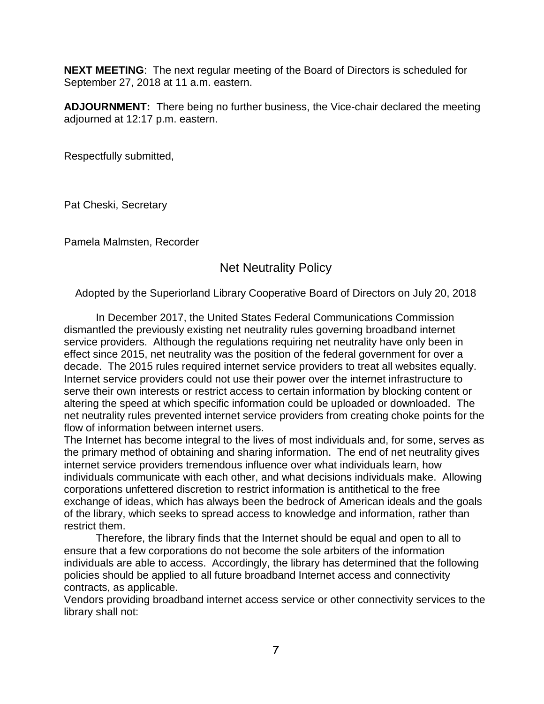**NEXT MEETING**: The next regular meeting of the Board of Directors is scheduled for September 27, 2018 at 11 a.m. eastern.

**ADJOURNMENT:** There being no further business, the Vice-chair declared the meeting adjourned at 12:17 p.m. eastern.

Respectfully submitted,

Pat Cheski, Secretary

Pamela Malmsten, Recorder

# Net Neutrality Policy

Adopted by the Superiorland Library Cooperative Board of Directors on July 20, 2018

In December 2017, the United States Federal Communications Commission dismantled the previously existing net neutrality rules governing broadband internet service providers. Although the regulations requiring net neutrality have only been in effect since 2015, net neutrality was the position of the federal government for over a decade. The 2015 rules required internet service providers to treat all websites equally. Internet service providers could not use their power over the internet infrastructure to serve their own interests or restrict access to certain information by blocking content or altering the speed at which specific information could be uploaded or downloaded. The net neutrality rules prevented internet service providers from creating choke points for the flow of information between internet users.

The Internet has become integral to the lives of most individuals and, for some, serves as the primary method of obtaining and sharing information. The end of net neutrality gives internet service providers tremendous influence over what individuals learn, how individuals communicate with each other, and what decisions individuals make. Allowing corporations unfettered discretion to restrict information is antithetical to the free exchange of ideas, which has always been the bedrock of American ideals and the goals of the library, which seeks to spread access to knowledge and information, rather than restrict them.

Therefore, the library finds that the Internet should be equal and open to all to ensure that a few corporations do not become the sole arbiters of the information individuals are able to access. Accordingly, the library has determined that the following policies should be applied to all future broadband Internet access and connectivity contracts, as applicable.

Vendors providing broadband internet access service or other connectivity services to the library shall not: